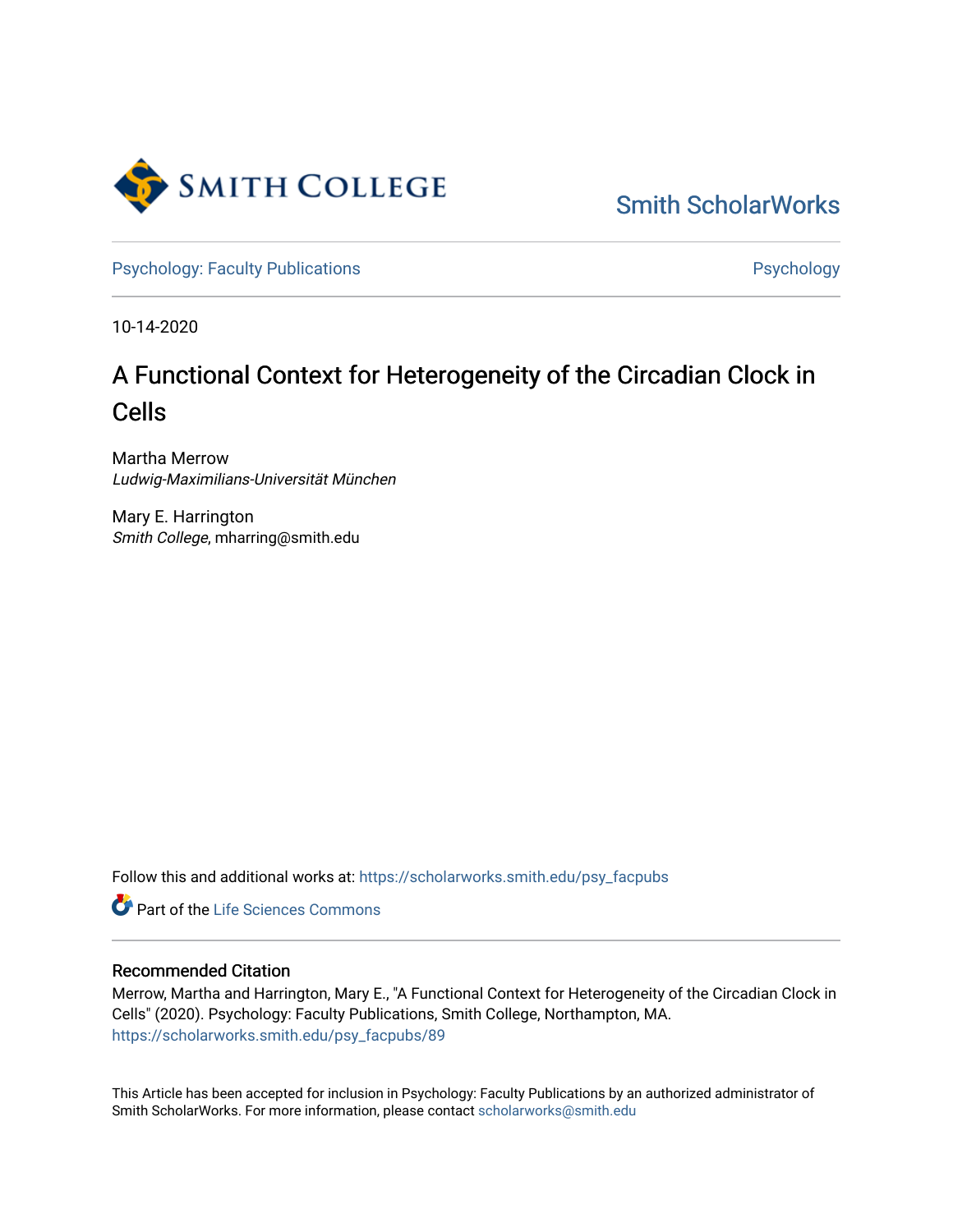

[Smith ScholarWorks](https://scholarworks.smith.edu/) 

[Psychology: Faculty Publications](https://scholarworks.smith.edu/psy_facpubs) **Psychology** Psychology

10-14-2020

# A Functional Context for Heterogeneity of the Circadian Clock in Cells

Martha Merrow Ludwig-Maximilians-Universität München

Mary E. Harrington Smith College, mharring@smith.edu

Follow this and additional works at: [https://scholarworks.smith.edu/psy\\_facpubs](https://scholarworks.smith.edu/psy_facpubs?utm_source=scholarworks.smith.edu%2Fpsy_facpubs%2F89&utm_medium=PDF&utm_campaign=PDFCoverPages) 

Part of the [Life Sciences Commons](http://network.bepress.com/hgg/discipline/1016?utm_source=scholarworks.smith.edu%2Fpsy_facpubs%2F89&utm_medium=PDF&utm_campaign=PDFCoverPages) 

#### Recommended Citation

Merrow, Martha and Harrington, Mary E., "A Functional Context for Heterogeneity of the Circadian Clock in Cells" (2020). Psychology: Faculty Publications, Smith College, Northampton, MA. [https://scholarworks.smith.edu/psy\\_facpubs/89](https://scholarworks.smith.edu/psy_facpubs/89?utm_source=scholarworks.smith.edu%2Fpsy_facpubs%2F89&utm_medium=PDF&utm_campaign=PDFCoverPages)

This Article has been accepted for inclusion in Psychology: Faculty Publications by an authorized administrator of Smith ScholarWorks. For more information, please contact [scholarworks@smith.edu](mailto:scholarworks@smith.edu)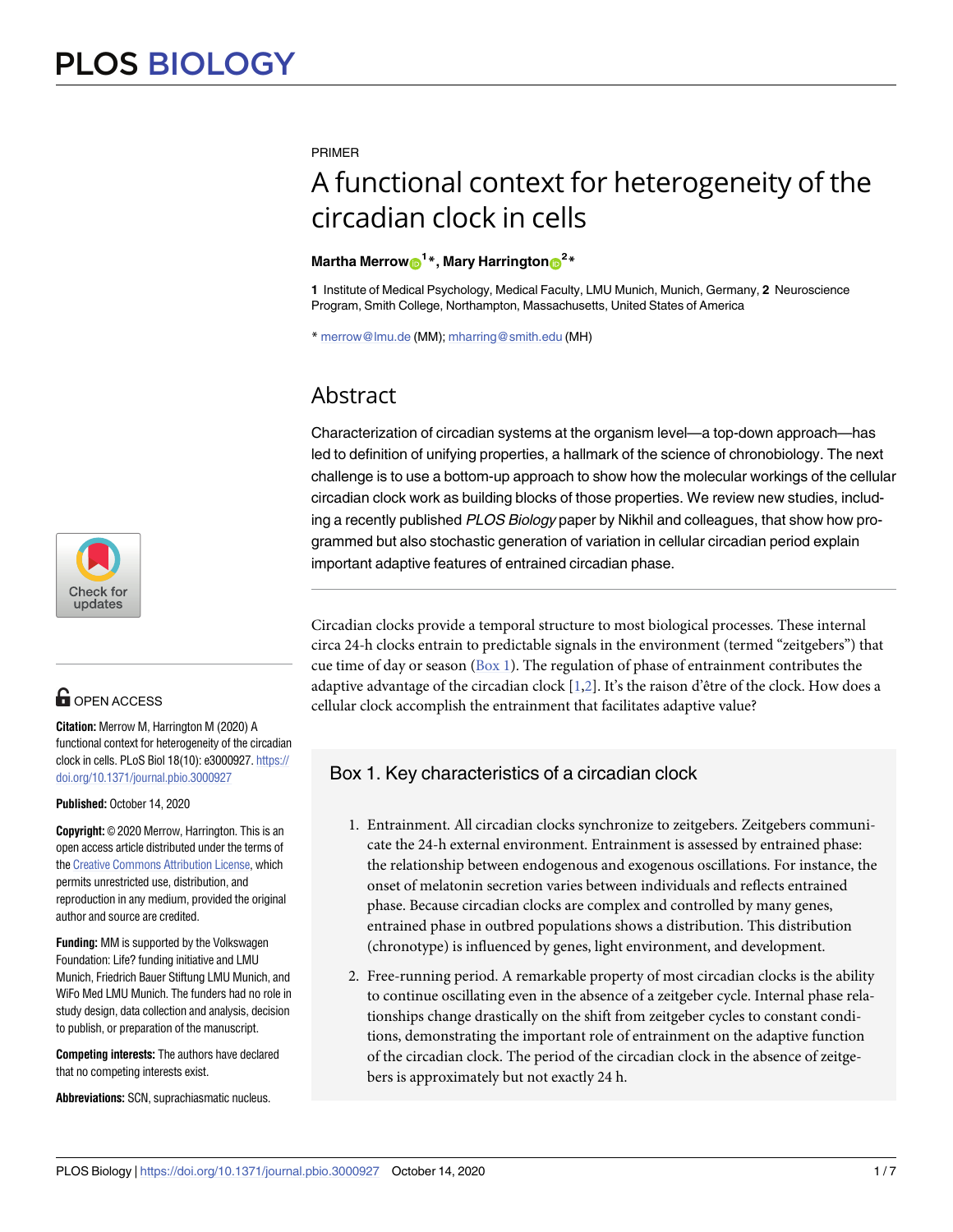

## **G** OPEN ACCESS

**Citation:** Merrow M, Harrington M (2020) A functional context for heterogeneity of the circadian clock in cells. PLoS Biol 18(10): e3000927. [https://](https://doi.org/10.1371/journal.pbio.3000927) [doi.org/10.1371/journal.pbio.3000927](https://doi.org/10.1371/journal.pbio.3000927)

**Published:** October 14, 2020

**Copyright:** © 2020 Merrow, Harrington. This is an open access article distributed under the terms of the Creative [Commons](http://creativecommons.org/licenses/by/4.0/) Attribution License, which permits unrestricted use, distribution, and reproduction in any medium, provided the original author and source are credited.

**Funding:** MM is supported by the Volkswagen Foundation: Life? funding initiative and LMU Munich, Friedrich Bauer Stiftung LMU Munich, and WiFo Med LMU Munich. The funders had no role in study design, data collection and analysis, decision to publish, or preparation of the manuscript.

**Competing interests:** The authors have declared that no competing interests exist.

**Abbreviations:** SCN, suprachiasmatic nucleus.

<span id="page-1-0"></span>PRIMER

# A functional context for heterogeneity of the circadian clock in cells

#### $\mathbf{M}$ artha Merrow $\mathbf{D}^{1*}$ , Mary Harrington $\mathbf{D}^{2*}$

**1** Institute of Medical Psychology, Medical Faculty, LMU Munich, Munich, Germany, **2** Neuroscience Program, Smith College, Northampton, Massachusetts, United States of America

\* merrow@lmu.de (MM); mharring@smith.edu (MH)

### Abstract

Characterization of circadian systems at the organism level—a top-down approach—has led to definition of unifying properties, a hallmark of the science of chronobiology. The next challenge is to use a bottom-up approach to show how the molecular workings of the cellular circadian clock work as building blocks of those properties. We review new studies, including a recently published PLOS Biology paper by Nikhil and colleagues, that show how programmed but also stochastic generation of variation in cellular circadian period explain important adaptive features of entrained circadian phase.

Circadian clocks provide a temporal structure to most biological processes. These internal circa 24-h clocks entrain to predictable signals in the environment (termed "zeitgebers") that cue time of day or season  $(Box 1)$ . The regulation of phase of entrainment contributes the adaptive advantage of the circadian clock  $[1,2]$  $[1,2]$  $[1,2]$  $[1,2]$ . It's the raison d'être of the clock. How does a cellular clock accomplish the entrainment that facilitates adaptive value?

#### Box 1. Key characteristics of a circadian clock

- 1. Entrainment. All circadian clocks synchronize to zeitgebers. Zeitgebers communicate the 24-h external environment. Entrainment is assessed by entrained phase: the relationship between endogenous and exogenous oscillations. For instance, the onset of melatonin secretion varies between individuals and reflects entrained phase. Because circadian clocks are complex and controlled by many genes, entrained phase in outbred populations shows a distribution. This distribution (chronotype) is influenced by genes, light environment, and development.
- 2. Free-running period. A remarkable property of most circadian clocks is the ability to continue oscillating even in the absence of a zeitgeber cycle. Internal phase relationships change drastically on the shift from zeitgeber cycles to constant conditions, demonstrating the important role of entrainment on the adaptive function of the circadian clock. The period of the circadian clock in the absence of zeitgebers is approximately but not exactly 24 h.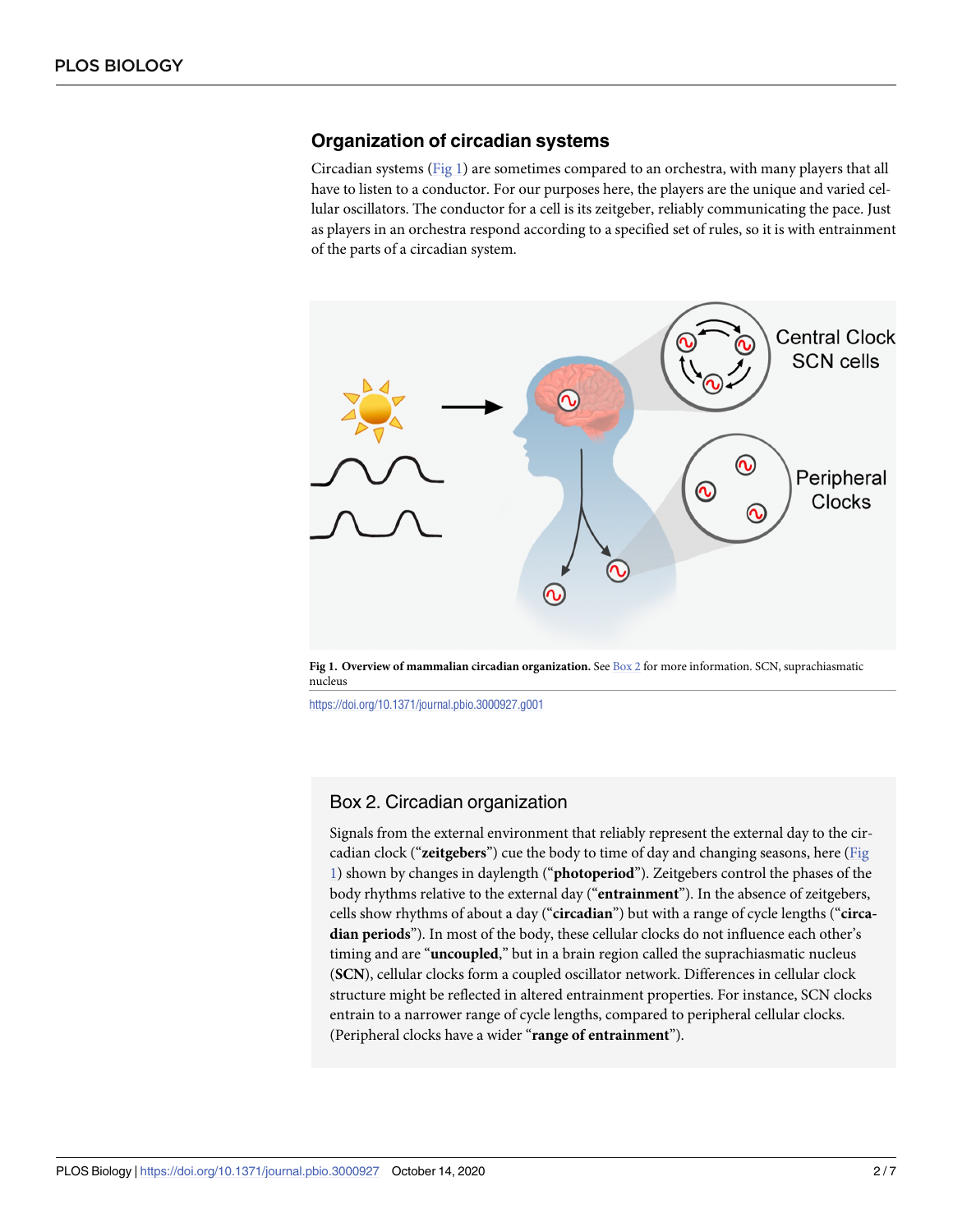#### <span id="page-2-0"></span>**Organization of circadian systems**

Circadian systems (Fig 1) are sometimes compared to an orchestra, with many players that all have to listen to a conductor. For our purposes here, the players are the unique and varied cellular oscillators. The conductor for a cell is its zeitgeber, reliably communicating the pace. Just as players in an orchestra respond according to a specified set of rules, so it is with entrainment of the parts of a circadian system.



**Fig 1. Overview of mammalian circadian organization.** See Box 2 for more information. SCN, suprachiasmatic nucleus

<https://doi.org/10.1371/journal.pbio.3000927.g001>

#### Box 2. Circadian organization

Signals from the external environment that reliably represent the external day to the circadian clock ("**zeitgebers**") cue the body to time of day and changing seasons, here (Fig 1) shown by changes in daylength ("**photoperiod**"). Zeitgebers control the phases of the body rhythms relative to the external day ("**entrainment**"). In the absence of zeitgebers, cells show rhythms of about a day ("**circadian**") but with a range of cycle lengths ("**circadian periods**"). In most of the body, these cellular clocks do not influence each other's timing and are "**uncoupled**," but in a brain region called the suprachiasmatic nucleus (**SCN**), cellular clocks form a coupled oscillator network. Differences in cellular clock structure might be reflected in altered entrainment properties. For instance, SCN clocks entrain to a narrower range of cycle lengths, compared to peripheral cellular clocks. (Peripheral clocks have a wider "**range of entrainment**").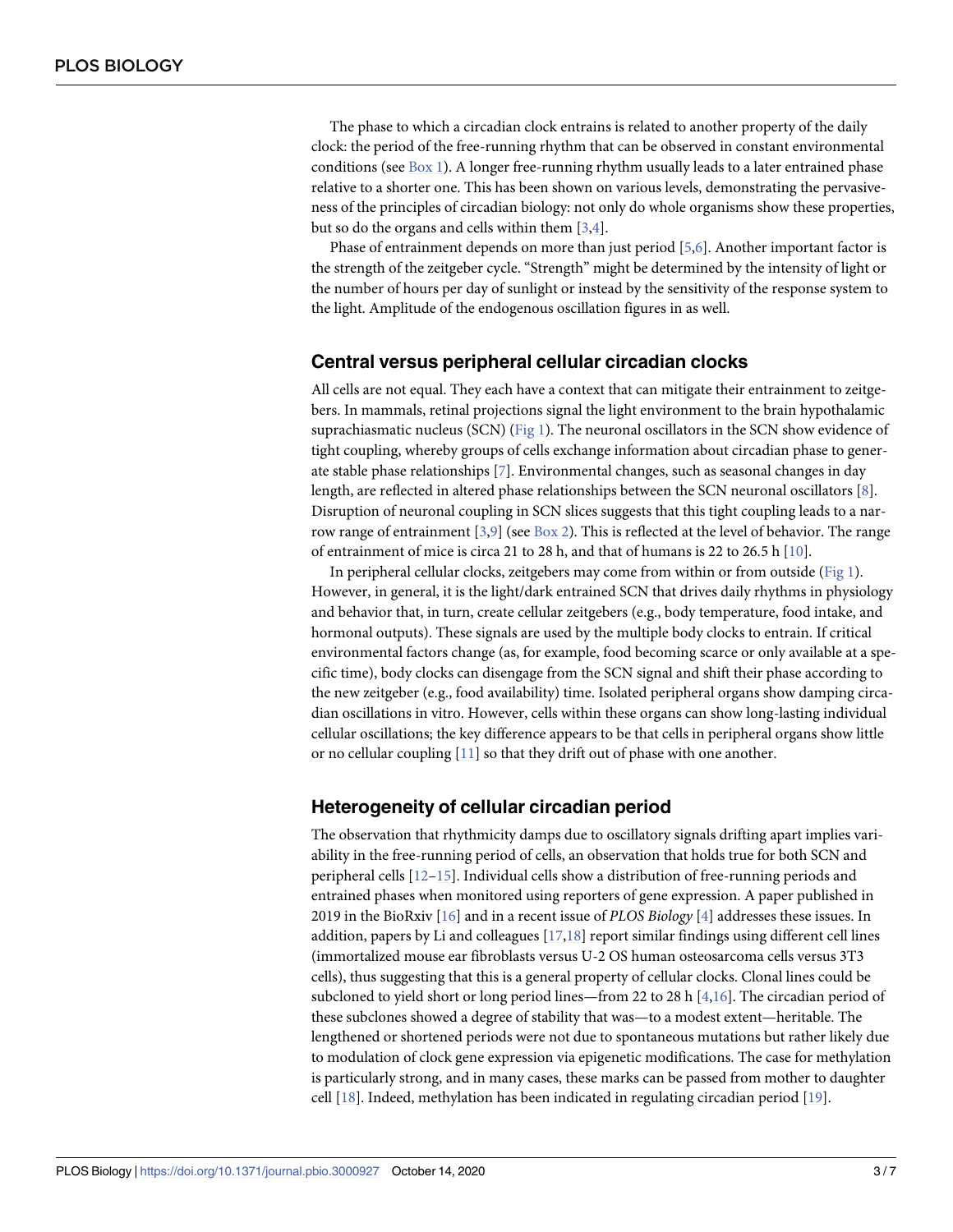<span id="page-3-0"></span>The phase to which a circadian clock entrains is related to another property of the daily clock: the period of the free-running rhythm that can be observed in constant environmental conditions (see  $Box 1$  $Box 1$ ). A longer free-running rhythm usually leads to a later entrained phase relative to a shorter one. This has been shown on various levels, demonstrating the pervasiveness of the principles of circadian biology: not only do whole organisms show these properties, but so do the organs and cells within them [[3](#page-6-0),[4](#page-6-0)].

Phase of entrainment depends on more than just period [[5](#page-6-0),[6\]](#page-6-0). Another important factor is the strength of the zeitgeber cycle. "Strength" might be determined by the intensity of light or the number of hours per day of sunlight or instead by the sensitivity of the response system to the light. Amplitude of the endogenous oscillation figures in as well.

#### **Central versus peripheral cellular circadian clocks**

All cells are not equal. They each have a context that can mitigate their entrainment to zeitgebers. In mammals, retinal projections signal the light environment to the brain hypothalamic suprachiasmatic nucleus (SCN) ([Fig](#page-2-0) 1). The neuronal oscillators in the SCN show evidence of tight coupling, whereby groups of cells exchange information about circadian phase to generate stable phase relationships [\[7](#page-6-0)]. Environmental changes, such as seasonal changes in day length, are reflected in altered phase relationships between the SCN neuronal oscillators [[8](#page-6-0)]. Disruption of neuronal coupling in SCN slices suggests that this tight coupling leads to a nar-row range of entrainment [\[3,9\]](#page-6-0) (see [Box](#page-2-0) 2). This is reflected at the level of behavior. The range of entrainment of mice is circa 21 to 28 h, and that of humans is 22 to 26.5 h [[10](#page-6-0)].

In peripheral cellular clocks, zeitgebers may come from within or from outside ([Fig](#page-2-0) 1). However, in general, it is the light/dark entrained SCN that drives daily rhythms in physiology and behavior that, in turn, create cellular zeitgebers (e.g., body temperature, food intake, and hormonal outputs). These signals are used by the multiple body clocks to entrain. If critical environmental factors change (as, for example, food becoming scarce or only available at a specific time), body clocks can disengage from the SCN signal and shift their phase according to the new zeitgeber (e.g., food availability) time. Isolated peripheral organs show damping circadian oscillations in vitro. However, cells within these organs can show long-lasting individual cellular oscillations; the key difference appears to be that cells in peripheral organs show little or no cellular coupling [[11](#page-6-0)] so that they drift out of phase with one another.

#### **Heterogeneity of cellular circadian period**

The observation that rhythmicity damps due to oscillatory signals drifting apart implies variability in the free-running period of cells, an observation that holds true for both SCN and peripheral cells [[12–15\]](#page-6-0). Individual cells show a distribution of free-running periods and entrained phases when monitored using reporters of gene expression. A paper published in 2019 in the BioRxiv [[16](#page-6-0)] and in a recent issue of *PLOS Biology* [[4](#page-6-0)] addresses these issues. In addition, papers by Li and colleagues [\[17,18](#page-7-0)] report similar findings using different cell lines (immortalized mouse ear fibroblasts versus U-2 OS human osteosarcoma cells versus 3T3 cells), thus suggesting that this is a general property of cellular clocks. Clonal lines could be subcloned to yield short or long period lines—from 22 to 28 h [[4,16](#page-6-0)]. The circadian period of these subclones showed a degree of stability that was—to a modest extent—heritable. The lengthened or shortened periods were not due to spontaneous mutations but rather likely due to modulation of clock gene expression via epigenetic modifications. The case for methylation is particularly strong, and in many cases, these marks can be passed from mother to daughter cell [\[18\]](#page-7-0). Indeed, methylation has been indicated in regulating circadian period [\[19\]](#page-7-0).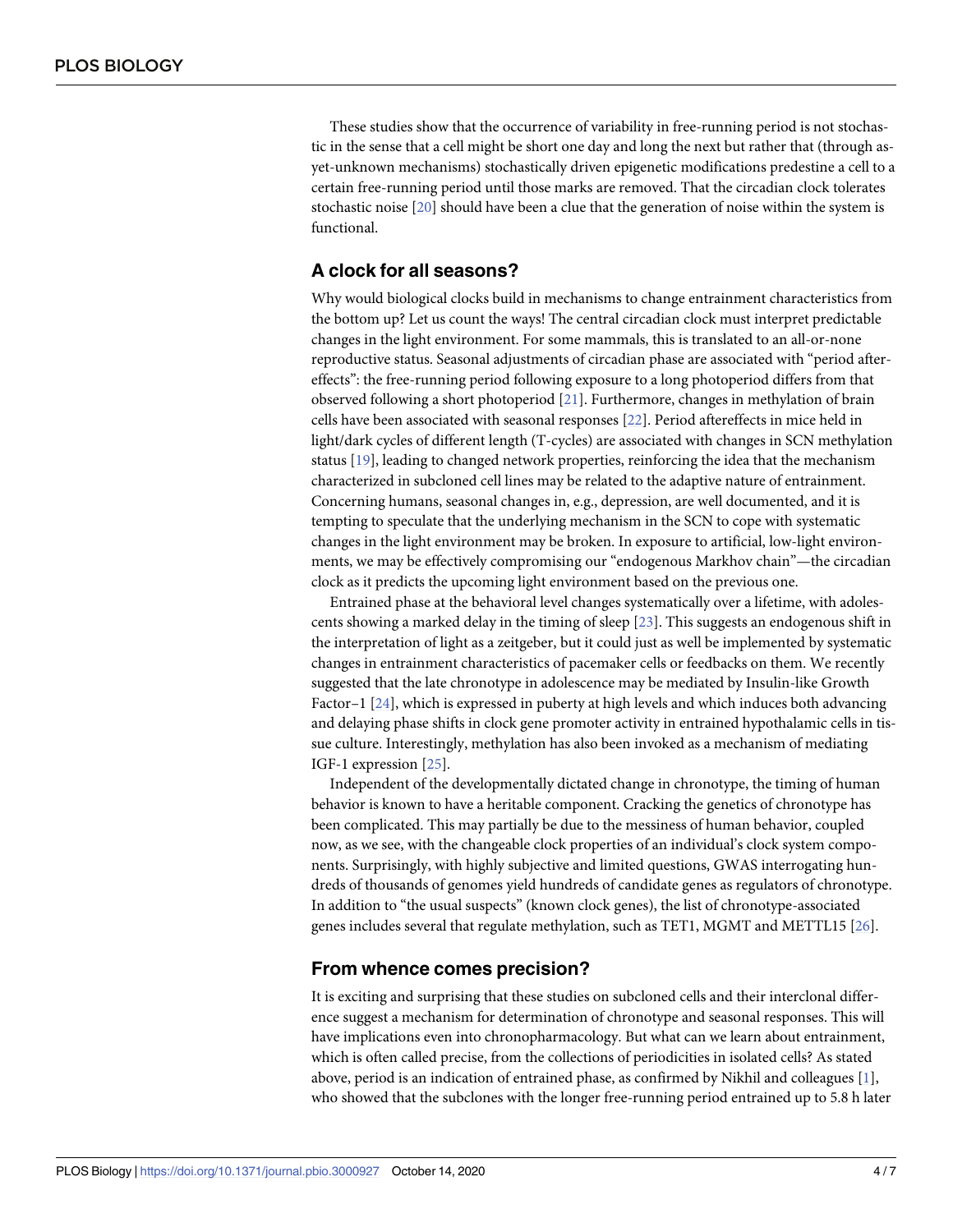<span id="page-4-0"></span>These studies show that the occurrence of variability in free-running period is not stochastic in the sense that a cell might be short one day and long the next but rather that (through asyet-unknown mechanisms) stochastically driven epigenetic modifications predestine a cell to a certain free-running period until those marks are removed. That the circadian clock tolerates stochastic noise [[20](#page-7-0)] should have been a clue that the generation of noise within the system is functional.

#### **A clock for all seasons?**

Why would biological clocks build in mechanisms to change entrainment characteristics from the bottom up? Let us count the ways! The central circadian clock must interpret predictable changes in the light environment. For some mammals, this is translated to an all-or-none reproductive status. Seasonal adjustments of circadian phase are associated with "period aftereffects": the free-running period following exposure to a long photoperiod differs from that observed following a short photoperiod [\[21\]](#page-7-0). Furthermore, changes in methylation of brain cells have been associated with seasonal responses [\[22\]](#page-7-0). Period aftereffects in mice held in light/dark cycles of different length (T-cycles) are associated with changes in SCN methylation status [\[19\]](#page-7-0), leading to changed network properties, reinforcing the idea that the mechanism characterized in subcloned cell lines may be related to the adaptive nature of entrainment. Concerning humans, seasonal changes in, e.g., depression, are well documented, and it is tempting to speculate that the underlying mechanism in the SCN to cope with systematic changes in the light environment may be broken. In exposure to artificial, low-light environments, we may be effectively compromising our "endogenous Markhov chain"—the circadian clock as it predicts the upcoming light environment based on the previous one.

Entrained phase at the behavioral level changes systematically over a lifetime, with adolescents showing a marked delay in the timing of sleep [\[23\]](#page-7-0). This suggests an endogenous shift in the interpretation of light as a zeitgeber, but it could just as well be implemented by systematic changes in entrainment characteristics of pacemaker cells or feedbacks on them. We recently suggested that the late chronotype in adolescence may be mediated by Insulin-like Growth Factor–1 [\[24\]](#page-7-0), which is expressed in puberty at high levels and which induces both advancing and delaying phase shifts in clock gene promoter activity in entrained hypothalamic cells in tissue culture. Interestingly, methylation has also been invoked as a mechanism of mediating IGF-1 expression [\[25\]](#page-7-0).

Independent of the developmentally dictated change in chronotype, the timing of human behavior is known to have a heritable component. Cracking the genetics of chronotype has been complicated. This may partially be due to the messiness of human behavior, coupled now, as we see, with the changeable clock properties of an individual's clock system components. Surprisingly, with highly subjective and limited questions, GWAS interrogating hundreds of thousands of genomes yield hundreds of candidate genes as regulators of chronotype. In addition to "the usual suspects" (known clock genes), the list of chronotype-associated genes includes several that regulate methylation, such as TET1, MGMT and METTL15 [[26](#page-7-0)].

#### **From whence comes precision?**

It is exciting and surprising that these studies on subcloned cells and their interclonal difference suggest a mechanism for determination of chronotype and seasonal responses. This will have implications even into chronopharmacology. But what can we learn about entrainment, which is often called precise, from the collections of periodicities in isolated cells? As stated above, period is an indication of entrained phase, as confirmed by Nikhil and colleagues [[1](#page-6-0)], who showed that the subclones with the longer free-running period entrained up to 5.8 h later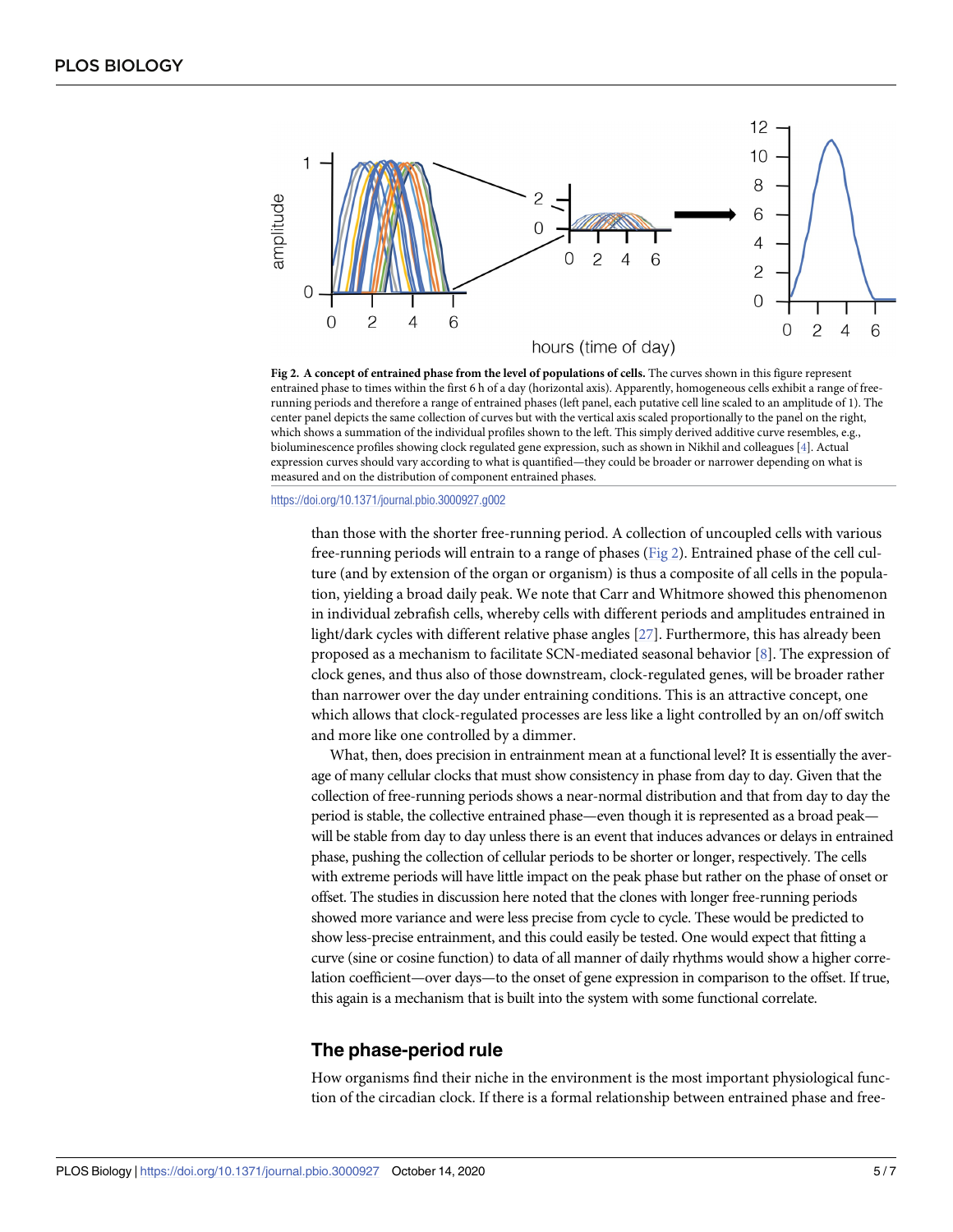<span id="page-5-0"></span>

**Fig 2. A concept of entrained phase from the level of populations of cells.** The curves shown in this figure represent entrained phase to times within the first 6 h of a day (horizontal axis). Apparently, homogeneous cells exhibit a range of freerunning periods and therefore a range of entrained phases (left panel, each putative cell line scaled to an amplitude of 1). The center panel depicts the same collection of curves but with the vertical axis scaled proportionally to the panel on the right, which shows a summation of the individual profiles shown to the left. This simply derived additive curve resembles, e.g., bioluminescence profiles showing clock regulated gene expression, such as shown in Nikhil and colleagues [[4](#page-6-0)]. Actual expression curves should vary according to what is quantified—they could be broader or narrower depending on what is measured and on the distribution of component entrained phases.

<https://doi.org/10.1371/journal.pbio.3000927.g002>

than those with the shorter free-running period. A collection of uncoupled cells with various free-running periods will entrain to a range of phases (Fig 2). Entrained phase of the cell culture (and by extension of the organ or organism) is thus a composite of all cells in the population, yielding a broad daily peak. We note that Carr and Whitmore showed this phenomenon in individual zebrafish cells, whereby cells with different periods and amplitudes entrained in light/dark cycles with different relative phase angles [[27\]](#page-7-0). Furthermore, this has already been proposed as a mechanism to facilitate SCN-mediated seasonal behavior [\[8](#page-6-0)]. The expression of clock genes, and thus also of those downstream, clock-regulated genes, will be broader rather than narrower over the day under entraining conditions. This is an attractive concept, one which allows that clock-regulated processes are less like a light controlled by an on/off switch and more like one controlled by a dimmer.

What, then, does precision in entrainment mean at a functional level? It is essentially the average of many cellular clocks that must show consistency in phase from day to day. Given that the collection of free-running periods shows a near-normal distribution and that from day to day the period is stable, the collective entrained phase—even though it is represented as a broad peak will be stable from day to day unless there is an event that induces advances or delays in entrained phase, pushing the collection of cellular periods to be shorter or longer, respectively. The cells with extreme periods will have little impact on the peak phase but rather on the phase of onset or offset. The studies in discussion here noted that the clones with longer free-running periods showed more variance and were less precise from cycle to cycle. These would be predicted to show less-precise entrainment, and this could easily be tested. One would expect that fitting a curve (sine or cosine function) to data of all manner of daily rhythms would show a higher correlation coefficient—over days—to the onset of gene expression in comparison to the offset. If true, this again is a mechanism that is built into the system with some functional correlate.

#### **The phase-period rule**

How organisms find their niche in the environment is the most important physiological function of the circadian clock. If there is a formal relationship between entrained phase and free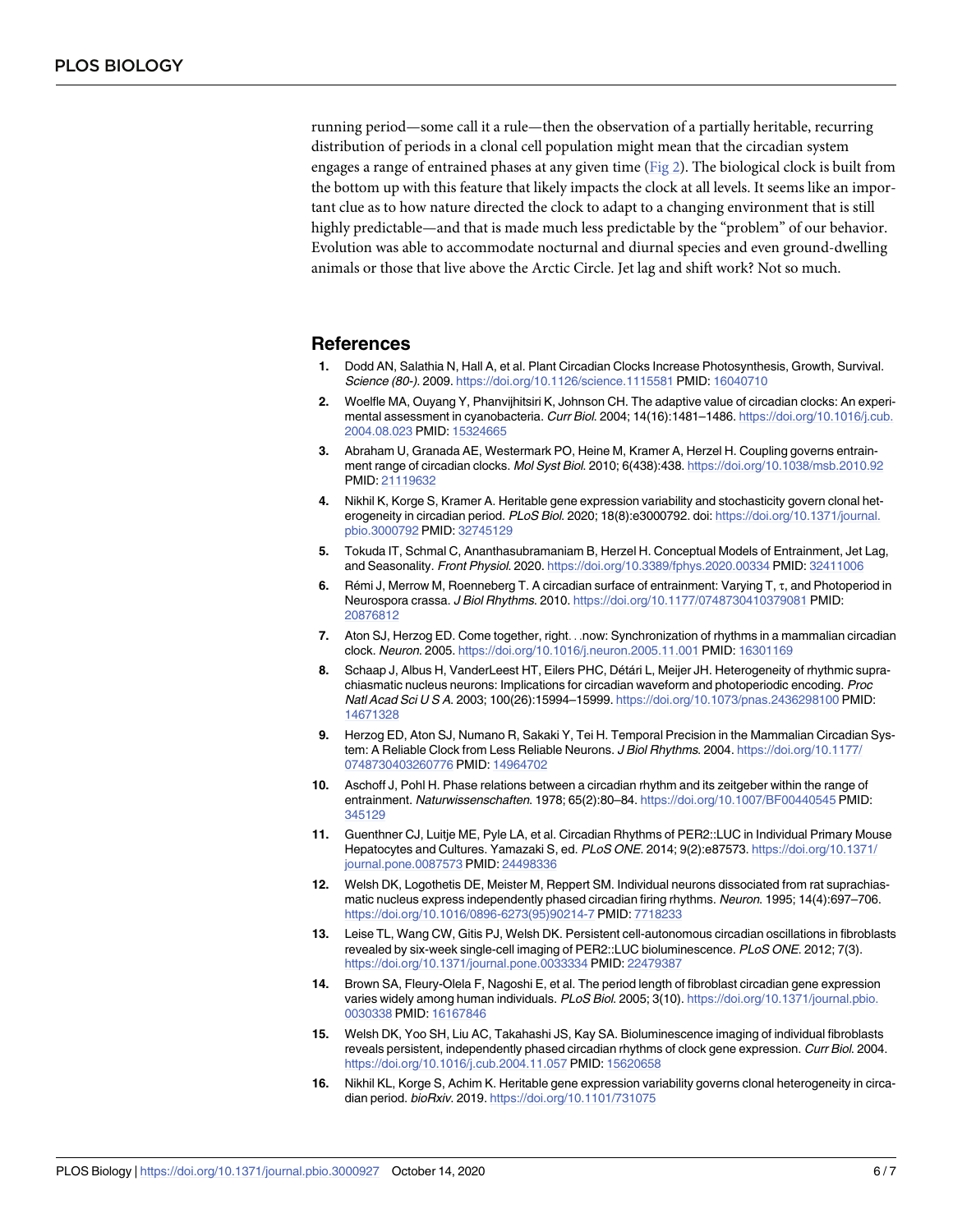<span id="page-6-0"></span>running period—some call it a rule—then the observation of a partially heritable, recurring distribution of periods in a clonal cell population might mean that the circadian system engages a range of entrained phases at any given time [\(Fig](#page-5-0) 2). The biological clock is built from the bottom up with this feature that likely impacts the clock at all levels. It seems like an important clue as to how nature directed the clock to adapt to a changing environment that is still highly predictable—and that is made much less predictable by the "problem" of our behavior. Evolution was able to accommodate nocturnal and diurnal species and even ground-dwelling animals or those that live above the Arctic Circle. Jet lag and shift work? Not so much.

#### **References**

- **[1](#page-1-0).** Dodd AN, Salathia N, Hall A, et al. Plant Circadian Clocks Increase Photosynthesis, Growth, Survival. Science (80-). 2009. <https://doi.org/10.1126/science.1115581> PMID: [16040710](http://www.ncbi.nlm.nih.gov/pubmed/16040710)
- **[2](#page-1-0).** Woelfle MA, Ouyang Y, Phanvijhitsiri K, Johnson CH. The adaptive value of circadian clocks: An experimental assessment in cyanobacteria. Curr Biol. 2004; 14(16):1481–1486. [https://doi.org/10.1016/j.cub.](https://doi.org/10.1016/j.cub.2004.08.023) [2004.08.023](https://doi.org/10.1016/j.cub.2004.08.023) PMID: [15324665](http://www.ncbi.nlm.nih.gov/pubmed/15324665)
- **[3](#page-3-0).** Abraham U, Granada AE, Westermark PO, Heine M, Kramer A, Herzel H. Coupling governs entrainment range of circadian clocks. Mol Syst Biol. 2010; 6(438):438. <https://doi.org/10.1038/msb.2010.92> PMID: [21119632](http://www.ncbi.nlm.nih.gov/pubmed/21119632)
- **[4](#page-3-0).** Nikhil K, Korge S, Kramer A. Heritable gene expression variability and stochasticity govern clonal heterogeneity in circadian period. PLoS Biol. 2020; 18(8):e3000792. doi: [https://doi.org/10.1371/journal.](https://doi.org/10.1371/journal.pbio.3000792) [pbio.3000792](https://doi.org/10.1371/journal.pbio.3000792) PMID: [32745129](http://www.ncbi.nlm.nih.gov/pubmed/32745129)
- **[5](#page-3-0).** Tokuda IT, Schmal C, Ananthasubramaniam B, Herzel H. Conceptual Models of Entrainment, Jet Lag, and Seasonality. Front Physiol. 2020. <https://doi.org/10.3389/fphys.2020.00334> PMID: [32411006](http://www.ncbi.nlm.nih.gov/pubmed/32411006)
- **[6](#page-3-0).** Re´mi J, Merrow M, Roenneberg T. A circadian surface of entrainment: Varying T, τ, and Photoperiod in Neurospora crassa. J Biol Rhythms. 2010. <https://doi.org/10.1177/0748730410379081> PMID: [20876812](http://www.ncbi.nlm.nih.gov/pubmed/20876812)
- **[7](#page-3-0).** Aton SJ, Herzog ED. Come together, right. . .now: Synchronization of rhythms in a mammalian circadian clock. Neuron. 2005. <https://doi.org/10.1016/j.neuron.2005.11.001> PMID: [16301169](http://www.ncbi.nlm.nih.gov/pubmed/16301169)
- [8](#page-3-0). Schaap J, Albus H, VanderLeest HT, Eilers PHC, Détári L, Meijer JH. Heterogeneity of rhythmic suprachiasmatic nucleus neurons: Implications for circadian waveform and photoperiodic encoding. Proc Natl Acad Sci U S A. 2003; 100(26):15994–15999. <https://doi.org/10.1073/pnas.2436298100> PMID: [14671328](http://www.ncbi.nlm.nih.gov/pubmed/14671328)
- **[9](#page-3-0).** Herzog ED, Aton SJ, Numano R, Sakaki Y, Tei H. Temporal Precision in the Mammalian Circadian System: A Reliable Clock from Less Reliable Neurons. J Biol Rhythms. 2004. [https://doi.org/10.1177/](https://doi.org/10.1177/0748730403260776) [0748730403260776](https://doi.org/10.1177/0748730403260776) PMID: [14964702](http://www.ncbi.nlm.nih.gov/pubmed/14964702)
- **[10](#page-3-0).** Aschoff J, Pohl H. Phase relations between a circadian rhythm and its zeitgeber within the range of entrainment. Naturwissenschaften. 1978; 65(2):80–84. <https://doi.org/10.1007/BF00440545> PMID: [345129](http://www.ncbi.nlm.nih.gov/pubmed/345129)
- **[11](#page-3-0).** Guenthner CJ, Luitje ME, Pyle LA, et al. Circadian Rhythms of PER2::LUC in Individual Primary Mouse Hepatocytes and Cultures. Yamazaki S, ed. PLoS ONE. 2014; 9(2):e87573. [https://doi.org/10.1371/](https://doi.org/10.1371/journal.pone.0087573) [journal.pone.0087573](https://doi.org/10.1371/journal.pone.0087573) PMID: [24498336](http://www.ncbi.nlm.nih.gov/pubmed/24498336)
- **[12](#page-3-0).** Welsh DK, Logothetis DE, Meister M, Reppert SM. Individual neurons dissociated from rat suprachiasmatic nucleus express independently phased circadian firing rhythms. Neuron. 1995; 14(4):697–706. [https://doi.org/10.1016/0896-6273\(95\)90214-7](https://doi.org/10.1016/0896-6273%2895%2990214-7) PMID: [7718233](http://www.ncbi.nlm.nih.gov/pubmed/7718233)
- **13.** Leise TL, Wang CW, Gitis PJ, Welsh DK. Persistent cell-autonomous circadian oscillations in fibroblasts revealed by six-week single-cell imaging of PER2::LUC bioluminescence. PLoS ONE. 2012; 7(3). <https://doi.org/10.1371/journal.pone.0033334> PMID: [22479387](http://www.ncbi.nlm.nih.gov/pubmed/22479387)
- **14.** Brown SA, Fleury-Olela F, Nagoshi E, et al. The period length of fibroblast circadian gene expression varies widely among human individuals. PLoS Biol. 2005; 3(10). [https://doi.org/10.1371/journal.pbio.](https://doi.org/10.1371/journal.pbio.0030338) [0030338](https://doi.org/10.1371/journal.pbio.0030338) PMID: [16167846](http://www.ncbi.nlm.nih.gov/pubmed/16167846)
- **[15](#page-3-0).** Welsh DK, Yoo SH, Liu AC, Takahashi JS, Kay SA. Bioluminescence imaging of individual fibroblasts reveals persistent, independently phased circadian rhythms of clock gene expression. Curr Biol. 2004. <https://doi.org/10.1016/j.cub.2004.11.057> PMID: [15620658](http://www.ncbi.nlm.nih.gov/pubmed/15620658)
- **[16](#page-3-0).** Nikhil KL, Korge S, Achim K. Heritable gene expression variability governs clonal heterogeneity in circadian period. bioRxiv. 2019. <https://doi.org/10.1101/731075>